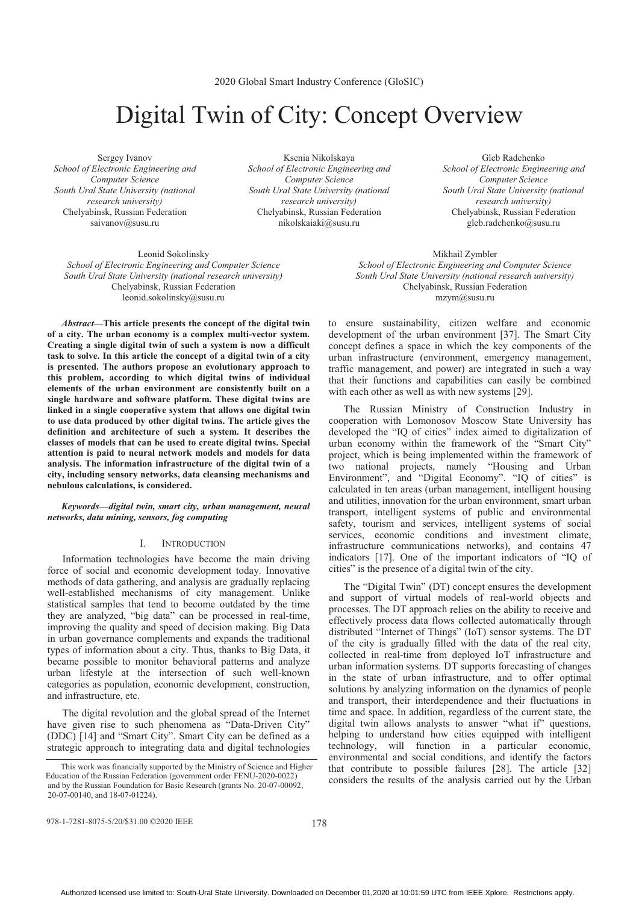# Digital Twin of City: Concept Overview

Sergey Ivanov *School of Electronic Engineering and Computer Science South Ural State University (national research university)*  Chelyabinsk, Russian Federation saivanov@susu.ru

Ksenia Nikolskaya *School of Electronic Engineering and Computer Science South Ural State University (national research university)*  Chelyabinsk, Russian Federation nikolskaiaki@susu.ru

Leonid Sokolinsky *School of Electronic Engineering and Computer Science South Ural State University (national research university)*  Chelyabinsk, Russian Federation leonid.sokolinsky@susu.ru

*Abstract***—This article presents the concept of the digital twin of a city. The urban economy is a complex multi-vector system. Creating a single digital twin of such a system is now a difficult task to solve. In this article the concept of a digital twin of a city is presented. The authors propose an evolutionary approach to this problem, according to which digital twins of individual elements of the urban environment are consistently built on a single hardware and software platform. These digital twins are linked in a single cooperative system that allows one digital twin to use data produced by other digital twins. The article gives the definition and architecture of such a system. It describes the classes of models that can be used to create digital twins. Special attention is paid to neural network models and models for data analysis. The information infrastructure of the digital twin of a city, including sensory networks, data cleansing mechanisms and nebulous calculations, is considered.** 

# *Keywords—digital twin, smart city, urban management, neural networks, data mining, sensors, fog computing*

## I. INTRODUCTION

Information technologies have become the main driving force of social and economic development today. Innovative methods of data gathering, and analysis are gradually replacing well-established mechanisms of city management. Unlike statistical samples that tend to become outdated by the time they are analyzed, "big data" can be processed in real-time, improving the quality and speed of decision making. Big Data in urban governance complements and expands the traditional types of information about a city. Thus, thanks to Big Data, it became possible to monitor behavioral patterns and analyze urban lifestyle at the intersection of such well-known categories as population, economic development, construction, and infrastructure, etc.

The digital revolution and the global spread of the Internet have given rise to such phenomena as "Data-Driven City" (DDC) [14] and "Smart City". Smart City can be defined as a strategic approach to integrating data and digital technologies

Gleb Radchenko *School of Electronic Engineering and Computer Science South Ural State University (national research university)*  Chelyabinsk, Russian Federation gleb.radchenko@susu.ru

Mikhail Zymbler *School of Electronic Engineering and Computer Science South Ural State University (national research university)*  Chelyabinsk, Russian Federation mzym@susu.ru

to ensure sustainability, citizen welfare and economic development of the urban environment [37]. The Smart City concept defines a space in which the key components of the urban infrastructure (environment, emergency management, traffic management, and power) are integrated in such a way that their functions and capabilities can easily be combined with each other as well as with new systems [29].

The Russian Ministry of Construction Industry in cooperation with Lomonosov Moscow State University has developed the "IQ of cities" index aimed to digitalization of urban economy within the framework of the "Smart City" project, which is being implemented within the framework of two national projects, namely "Housing and Urban Environment", and "Digital Economy". "IQ of cities" is calculated in ten areas (urban management, intelligent housing and utilities, innovation for the urban environment, smart urban transport, intelligent systems of public and environmental safety, tourism and services, intelligent systems of social services, economic conditions and investment climate, infrastructure communications networks), and contains 47 indicators [17]. One of the important indicators of "IQ of cities" is the presence of a digital twin of the city.

The "Digital Twin" (DT) concept ensures the development and support of virtual models of real-world objects and processes. The DT approach relies on the ability to receive and effectively process data flows collected automatically through distributed "Internet of Things" (IoT) sensor systems. The DT of the city is gradually filled with the data of the real city, collected in real-time from deployed IoT infrastructure and urban information systems. DT supports forecasting of changes in the state of urban infrastructure, and to offer optimal solutions by analyzing information on the dynamics of people and transport, their interdependence and their fluctuations in time and space. In addition, regardless of the current state, the digital twin allows analysts to answer "what if" questions, helping to understand how cities equipped with intelligent technology, will function in a particular economic, environmental and social conditions, and identify the factors that contribute to possible failures [28]. The article [32] considers the results of the analysis carried out by the Urban

978-1-7281-8075-5/20/\$31.00 ©2020 IEEE

This work was financially supported by the Ministry of Science and Higher Education of the Russian Federation (government order FENU-2020-0022) and by the Russian Foundation for Basic Research (grants No. 20-07-00092, 20-07-00140, and 18-07-01224).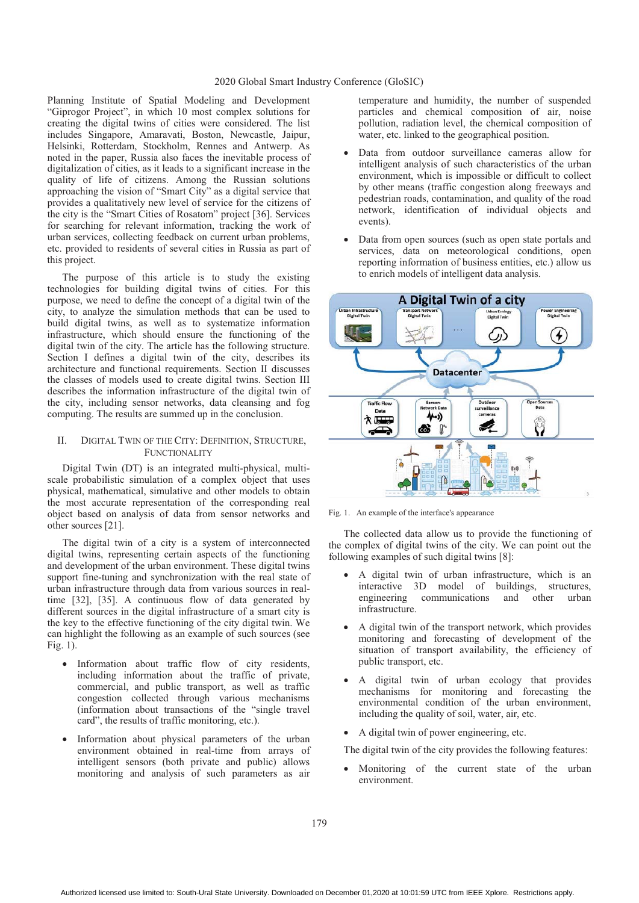Planning Institute of Spatial Modeling and Development "Giprogor Project", in which 10 most complex solutions for creating the digital twins of cities were considered. The list includes Singapore, Amaravati, Boston, Newcastle, Jaipur, Helsinki, Rotterdam, Stockholm, Rennes and Antwerp. As noted in the paper, Russia also faces the inevitable process of digitalization of cities, as it leads to a significant increase in the quality of life of citizens. Among the Russian solutions approaching the vision of "Smart City" as a digital service that provides a qualitatively new level of service for the citizens of the city is the "Smart Cities of Rosatom" project [36]. Services for searching for relevant information, tracking the work of urban services, collecting feedback on current urban problems, etc. provided to residents of several cities in Russia as part of this project.

The purpose of this article is to study the existing technologies for building digital twins of cities. For this purpose, we need to define the concept of a digital twin of the city, to analyze the simulation methods that can be used to build digital twins, as well as to systematize information infrastructure, which should ensure the functioning of the digital twin of the city. The article has the following structure. Section I defines a digital twin of the city, describes its architecture and functional requirements. Section II discusses the classes of models used to create digital twins. Section III describes the information infrastructure of the digital twin of the city, including sensor networks, data cleansing and fog computing. The results are summed up in the conclusion.

## II. DIGITAL TWIN OF THE CITY: DEFINITION, STRUCTURE, FUNCTIONALITY

Digital Twin (DT) is an integrated multi-physical, multiscale probabilistic simulation of a complex object that uses physical, mathematical, simulative and other models to obtain the most accurate representation of the corresponding real object based on analysis of data from sensor networks and other sources [21].

The digital twin of a city is a system of interconnected digital twins, representing certain aspects of the functioning and development of the urban environment. These digital twins support fine-tuning and synchronization with the real state of urban infrastructure through data from various sources in realtime [32], [35]. A continuous flow of data generated by different sources in the digital infrastructure of a smart city is the key to the effective functioning of the city digital twin. We can highlight the following as an example of such sources (see Fig. 1).

- Information about traffic flow of city residents, including information about the traffic of private, commercial, and public transport, as well as traffic congestion collected through various mechanisms (information about transactions of the "single travel card", the results of traffic monitoring, etc.).
- - Information about physical parameters of the urban environment obtained in real-time from arrays of intelligent sensors (both private and public) allows monitoring and analysis of such parameters as air

temperature and humidity, the number of suspended particles and chemical composition of air, noise pollution, radiation level, the chemical composition of water, etc. linked to the geographical position.

- - Data from outdoor surveillance cameras allow for intelligent analysis of such characteristics of the urban environment, which is impossible or difficult to collect by other means (traffic congestion along freeways and pedestrian roads, contamination, and quality of the road network, identification of individual objects and events).
- - Data from open sources (such as open state portals and services, data on meteorological conditions, open reporting information of business entities, etc.) allow us to enrich models of intelligent data analysis.



Fig. 1. An example of the interface's appearance

The collected data allow us to provide the functioning of the complex of digital twins of the city. We can point out the following examples of such digital twins [8]:

- - A digital twin of urban infrastructure, which is an interactive 3D model of buildings, structures,<br>engineering communications and other urban communications and other urban infrastructure.
- A digital twin of the transport network, which provides monitoring and forecasting of development of the situation of transport availability, the efficiency of public transport, etc.
- - A digital twin of urban ecology that provides mechanisms for monitoring and forecasting the environmental condition of the urban environment, including the quality of soil, water, air, etc.
- -A digital twin of power engineering, etc.

The digital twin of the city provides the following features:

- Monitoring of the current state of the urban environment.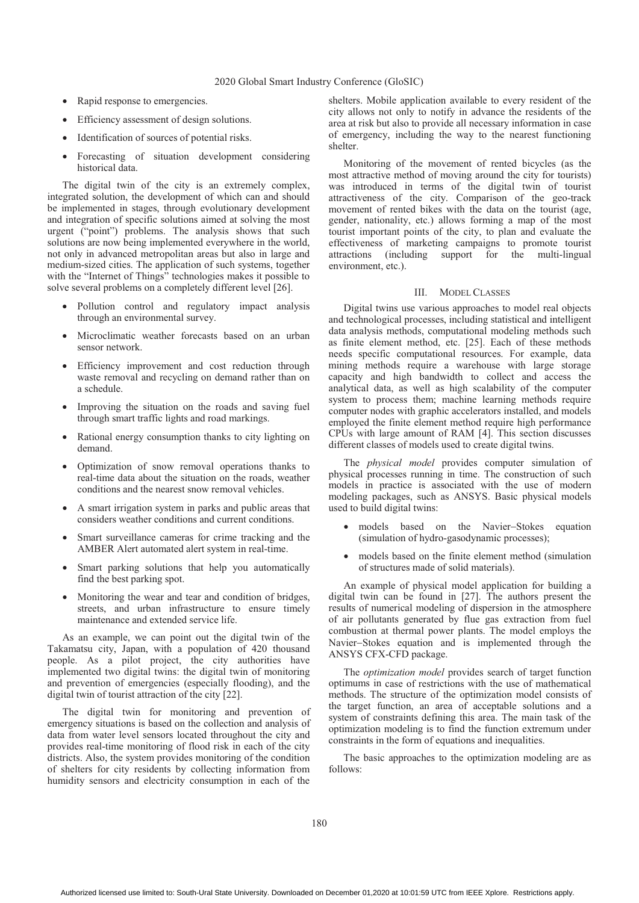- Rapid response to emergencies.
- -Efficiency assessment of design solutions.
- -Identification of sources of potential risks.
- - Forecasting of situation development considering historical data.

The digital twin of the city is an extremely complex, integrated solution, the development of which can and should be implemented in stages, through evolutionary development and integration of specific solutions aimed at solving the most urgent ("point") problems. The analysis shows that such solutions are now being implemented everywhere in the world, not only in advanced metropolitan areas but also in large and medium-sized cities. The application of such systems, together with the "Internet of Things" technologies makes it possible to solve several problems on a completely different level [26].

- Pollution control and regulatory impact analysis through an environmental survey.
- - Microclimatic weather forecasts based on an urban sensor network.
- Efficiency improvement and cost reduction through waste removal and recycling on demand rather than on a schedule.
- - Improving the situation on the roads and saving fuel through smart traffic lights and road markings.
- Rational energy consumption thanks to city lighting on demand.
- - Optimization of snow removal operations thanks to real-time data about the situation on the roads, weather conditions and the nearest snow removal vehicles.
- A smart irrigation system in parks and public areas that considers weather conditions and current conditions.
- - Smart surveillance cameras for crime tracking and the AMBER Alert automated alert system in real-time.
- $\bullet$  Smart parking solutions that help you automatically find the best parking spot.
- - Monitoring the wear and tear and condition of bridges, streets, and urban infrastructure to ensure timely maintenance and extended service life.

As an example, we can point out the digital twin of the Takamatsu city, Japan, with a population of 420 thousand people. As a pilot project, the city authorities have implemented two digital twins: the digital twin of monitoring and prevention of emergencies (especially flooding), and the digital twin of tourist attraction of the city [22].

The digital twin for monitoring and prevention of emergency situations is based on the collection and analysis of data from water level sensors located throughout the city and provides real-time monitoring of flood risk in each of the city districts. Also, the system provides monitoring of the condition of shelters for city residents by collecting information from humidity sensors and electricity consumption in each of the

shelters. Mobile application available to every resident of the city allows not only to notify in advance the residents of the area at risk but also to provide all necessary information in case of emergency, including the way to the nearest functioning shelter.

Monitoring of the movement of rented bicycles (as the most attractive method of moving around the city for tourists) was introduced in terms of the digital twin of tourist attractiveness of the city. Comparison of the geo-track movement of rented bikes with the data on the tourist (age, gender, nationality, etc.) allows forming a map of the most tourist important points of the city, to plan and evaluate the effectiveness of marketing campaigns to promote tourist attractions (including support for the multi-lingual environment, etc.).

## III. MODEL CLASSES

Digital twins use various approaches to model real objects and technological processes, including statistical and intelligent data analysis methods, computational modeling methods such as finite element method, etc. [25]. Each of these methods needs specific computational resources. For example, data mining methods require a warehouse with large storage capacity and high bandwidth to collect and access the analytical data, as well as high scalability of the computer system to process them; machine learning methods require computer nodes with graphic accelerators installed, and models employed the finite element method require high performance CPUs with large amount of RAM [4]. This section discusses different classes of models used to create digital twins.

The *physical model* provides computer simulation of physical processes running in time. The construction of such models in practice is associated with the use of modern modeling packages, such as ANSYS. Basic physical models used to build digital twins:

- models based on the Navier-Stokes equation (simulation of hydro-gasodynamic processes);
- $\bullet$  models based on the finite element method (simulation of structures made of solid materials).

An example of physical model application for building a digital twin can be found in [27]. The authors present the results of numerical modeling of dispersion in the atmosphere of air pollutants generated by flue gas extraction from fuel combustion at thermal power plants. The model employs the Navier-Stokes equation and is implemented through the ANSYS CFX-CFD package.

The *optimization model* provides search of target function optimums in case of restrictions with the use of mathematical methods. The structure of the optimization model consists of the target function, an area of acceptable solutions and a system of constraints defining this area. The main task of the optimization modeling is to find the function extremum under constraints in the form of equations and inequalities.

The basic approaches to the optimization modeling are as follows: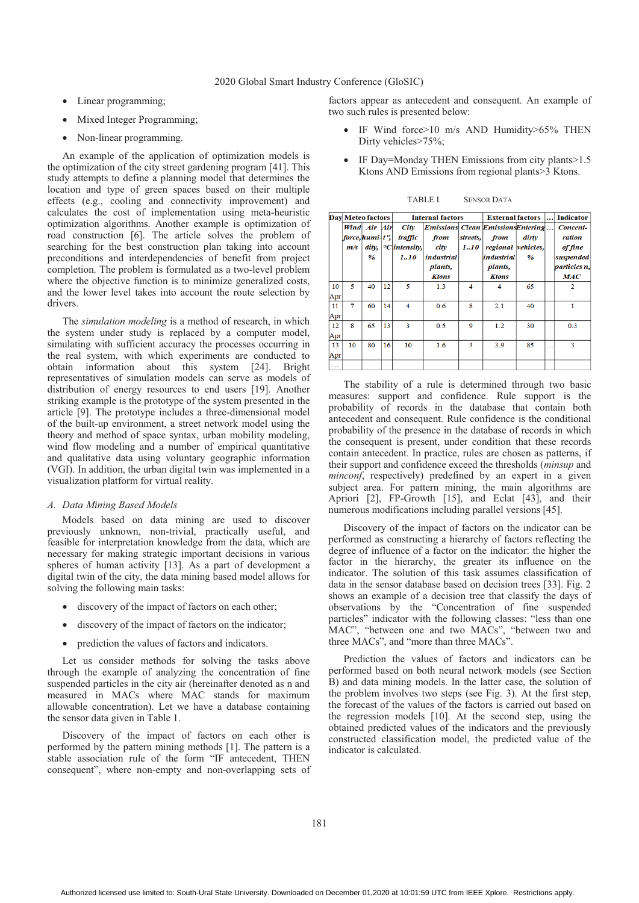- Linear programming;
- -Mixed Integer Programming;
- Non-linear programming.

An example of the application of optimization models is the optimization of the city street gardening program [41]. This study attempts to define a planning model that determines the location and type of green spaces based on their multiple effects (e.g., cooling and connectivity improvement) and calculates the cost of implementation using meta-heuristic optimization algorithms. Another example is optimization of road construction [6]. The article solves the problem of searching for the best construction plan taking into account preconditions and interdependencies of benefit from project completion. The problem is formulated as a two-level problem where the objective function is to minimize generalized costs, and the lower level takes into account the route selection by drivers.

The *simulation modeling* is a method of research, in which the system under study is replaced by a computer model, simulating with sufficient accuracy the processes occurring in the real system, with which experiments are conducted to obtain information about this system [24]. Bright representatives of simulation models can serve as models of distribution of energy resources to end users [19]. Another striking example is the prototype of the system presented in the article [9]. The prototype includes a three-dimensional model of the built-up environment, a street network model using the theory and method of space syntax, urban mobility modeling, wind flow modeling and a number of empirical quantitative and qualitative data using voluntary geographic information (VGI). In addition, the urban digital twin was implemented in a visualization platform for virtual reality.

#### *A. Data Mining Based Models*

Models based on data mining are used to discover previously unknown, non-trivial, practically useful, and feasible for interpretation knowledge from the data, which are necessary for making strategic important decisions in various spheres of human activity [13]. As a part of development a digital twin of the city, the data mining based model allows for solving the following main tasks:

- $\bullet$  discovery of the impact of factors on each other;
- $\bullet$ discovery of the impact of factors on the indicator;
- prediction the values of factors and indicators.

Let us consider methods for solving the tasks above through the example of analyzing the concentration of fine suspended particles in the city air (hereinafter denoted as n and measured in MACs where MAC stands for maximum allowable concentration). Let we have a database containing the sensor data given in Table 1.

Discovery of the impact of factors on each other is performed by the pattern mining methods [1]. The pattern is a stable association rule of the form "IF antecedent, THEN consequent", where non-empty and non-overlapping sets of factors appear as antecedent and consequent. An example of two such rules is presented below:

- - IF Wind force>10 m/s AND Humidity>65% THEN Dirty vehicles > 75%;
- - IF Day=Monday THEN Emissions from city plants>1.5 Ktons AND Emissions from regional plants>3 Ktons.

|           | <b>Day Meteo factors</b> |                                                  |    | <b>Internal factors</b>                           |                                                                                                    |                  | <b>External factors</b>                                                    |            |   | <b>Indicator</b>                                                                |
|-----------|--------------------------|--------------------------------------------------|----|---------------------------------------------------|----------------------------------------------------------------------------------------------------|------------------|----------------------------------------------------------------------------|------------|---|---------------------------------------------------------------------------------|
|           | m/s                      | Wind Air Air<br>force, humi t°,<br>dity,<br>$\%$ |    | City<br>traffic<br>$\mathrm{C}$ intensity,<br>110 | Emissions Clean Emissions Entering<br>from<br>city<br><i>industrial</i><br>plants,<br><b>Ktons</b> | streets,<br>110  | from<br>regional vehicles,<br><i>industrial</i><br>plants,<br><b>Ktons</b> | dirtv<br>% |   | Concent-<br>ration<br>of fine<br>suspended<br><i>particles n.</i><br><b>MAC</b> |
| 10<br>Apr | 5                        | 40                                               | 12 | 5                                                 | 1.3                                                                                                | 4                | 4                                                                          | 65         |   | $\mathbf{2}$                                                                    |
| 11<br>Apr | 7                        | 60                                               | 14 | $\overline{4}$                                    | 0.6                                                                                                | 8                | 2.1                                                                        | 40         |   | 1                                                                               |
| 12<br>Apr | 8                        | 65                                               | 13 | 3                                                 | 0.5                                                                                                | $\boldsymbol{Q}$ | 1.2                                                                        | 30         |   | 0.3                                                                             |
| 13<br>Apr | 10                       | 80                                               | 16 | 10                                                | 1.6                                                                                                | 3                | 3.9                                                                        | 85         | . | 3                                                                               |
| $\cdots$  |                          |                                                  |    |                                                   |                                                                                                    |                  |                                                                            |            |   |                                                                                 |

TABLE I. SENSOR DATA

The stability of a rule is determined through two basic measures: support and confidence. Rule support is the probability of records in the database that contain both antecedent and consequent. Rule confidence is the conditional probability of the presence in the database of records in which the consequent is present, under condition that these records contain antecedent. In practice, rules are chosen as patterns, if their support and confidence exceed the thresholds (*minsup* and *minconf*, respectively) predefined by an expert in a given subject area. For pattern mining, the main algorithms are Apriori [2], FP-Growth [15], and Eclat [43], and their numerous modifications including parallel versions [45].

Discovery of the impact of factors on the indicator can be performed as constructing a hierarchy of factors reflecting the degree of influence of a factor on the indicator: the higher the factor in the hierarchy, the greater its influence on the indicator. The solution of this task assumes classification of data in the sensor database based on decision trees [33]. Fig. 2 shows an example of a decision tree that classify the days of observations by the "Concentration of fine suspended particles" indicator with the following classes: "less than one MAC", "between one and two MACs", "between two and three MACs", and "more than three MACs".

Prediction the values of factors and indicators can be performed based on both neural network models (see Section B) and data mining models. In the latter case, the solution of the problem involves two steps (see Fig. 3). At the first step, the forecast of the values of the factors is carried out based on the regression models [10]. At the second step, using the obtained predicted values of the indicators and the previously constructed classification model, the predicted value of the indicator is calculated.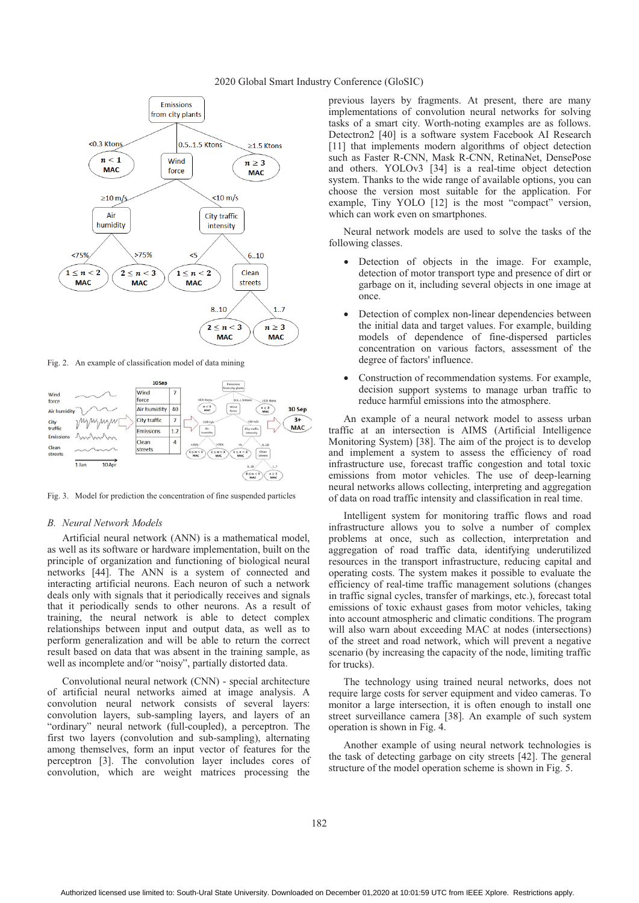



Fig. 2. An example of classification model of data mining



Fig. 3. Model for prediction the concentration of fine suspended particles

# *B. Neural Network Models*

Artificial neural network (ANN) is a mathematical model, as well as its software or hardware implementation, built on the principle of organization and functioning of biological neural networks [44]. The ANN is a system of connected and interacting artificial neurons. Each neuron of such a network deals only with signals that it periodically receives and signals that it periodically sends to other neurons. As a result of training, the neural network is able to detect complex relationships between input and output data, as well as to perform generalization and will be able to return the correct result based on data that was absent in the training sample, as well as incomplete and/or "noisy", partially distorted data.

Convolutional neural network (CNN) - special architecture of artificial neural networks aimed at image analysis. A convolution neural network consists of several layers: convolution layers, sub-sampling layers, and layers of an "ordinary" neural network (full-coupled), a perceptron. The first two layers (convolution and sub-sampling), alternating among themselves, form an input vector of features for the perceptron [3]. The convolution layer includes cores of convolution, which are weight matrices processing the

previous layers by fragments. At present, there are many implementations of convolution neural networks for solving tasks of a smart city. Worth-noting examples are as follows. Detectron2 [40] is a software system Facebook AI Research [11] that implements modern algorithms of object detection such as Faster R-CNN, Mask R-CNN, RetinaNet, DensePose and others. YOLOv3 [34] is a real-time object detection system. Thanks to the wide range of available options, you can choose the version most suitable for the application. For example, Tiny YOLO [12] is the most "compact" version, which can work even on smartphones.

Neural network models are used to solve the tasks of the following classes.

- - Detection of objects in the image. For example, detection of motor transport type and presence of dirt or garbage on it, including several objects in one image at once.
- - Detection of complex non-linear dependencies between the initial data and target values. For example, building models of dependence of fine-dispersed particles concentration on various factors, assessment of the degree of factors' influence.
- - Construction of recommendation systems. For example, decision support systems to manage urban traffic to reduce harmful emissions into the atmosphere.

An example of a neural network model to assess urban traffic at an intersection is AIMS (Artificial Intelligence Monitoring System) [38]. The aim of the project is to develop and implement a system to assess the efficiency of road infrastructure use, forecast traffic congestion and total toxic emissions from motor vehicles. The use of deep-learning neural networks allows collecting, interpreting and aggregation of data on road traffic intensity and classification in real time.

Intelligent system for monitoring traffic flows and road infrastructure allows you to solve a number of complex problems at once, such as collection, interpretation and aggregation of road traffic data, identifying underutilized resources in the transport infrastructure, reducing capital and operating costs. The system makes it possible to evaluate the efficiency of real-time traffic management solutions (changes in traffic signal cycles, transfer of markings, etc.), forecast total emissions of toxic exhaust gases from motor vehicles, taking into account atmospheric and climatic conditions. The program will also warn about exceeding MAC at nodes (intersections) of the street and road network, which will prevent a negative scenario (by increasing the capacity of the node, limiting traffic for trucks).

The technology using trained neural networks, does not require large costs for server equipment and video cameras. To monitor a large intersection, it is often enough to install one street surveillance camera [38]. An example of such system operation is shown in Fig. 4.

Another example of using neural network technologies is the task of detecting garbage on city streets [42]. The general structure of the model operation scheme is shown in Fig. 5.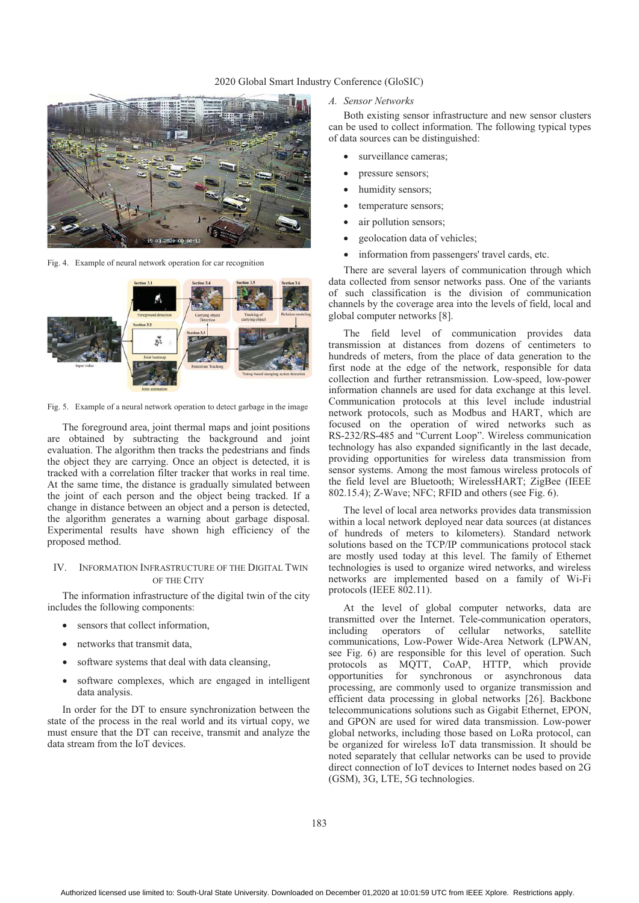# 2020 Global Smart Industry Conference (GloSIC)



Fig. 4. Example of neural network operation for car recognition



Fig. 5. Example of a neural network operation to detect garbage in the image

The foreground area, joint thermal maps and joint positions are obtained by subtracting the background and joint evaluation. The algorithm then tracks the pedestrians and finds the object they are carrying. Once an object is detected, it is tracked with a correlation filter tracker that works in real time. At the same time, the distance is gradually simulated between the joint of each person and the object being tracked. If a change in distance between an object and a person is detected, the algorithm generates a warning about garbage disposal. Experimental results have shown high efficiency of the proposed method.

# IV. INFORMATION INFRASTRUCTURE OF THE DIGITAL TWIN OF THE CITY

The information infrastructure of the digital twin of the city includes the following components:

- sensors that collect information,
- networks that transmit data,
- software systems that deal with data cleansing,
- $\bullet$  software complexes, which are engaged in intelligent data analysis.

In order for the DT to ensure synchronization between the state of the process in the real world and its virtual copy, we must ensure that the DT can receive, transmit and analyze the data stream from the IoT devices.

# *A. Sensor Networks*

Both existing sensor infrastructure and new sensor clusters can be used to collect information. The following typical types of data sources can be distinguished:

- surveillance cameras;
- $\bullet$ pressure sensors;
- humidity sensors;
- temperature sensors;
- air pollution sensors;
- geolocation data of vehicles;
- $\bullet$ information from passengers' travel cards, etc.

There are several layers of communication through which data collected from sensor networks pass. One of the variants of such classification is the division of communication channels by the coverage area into the levels of field, local and global computer networks [8].

The field level of communication provides data transmission at distances from dozens of centimeters to hundreds of meters, from the place of data generation to the first node at the edge of the network, responsible for data collection and further retransmission. Low-speed, low-power information channels are used for data exchange at this level. Communication protocols at this level include industrial network protocols, such as Modbus and HART, which are focused on the operation of wired networks such as RS-232/RS-485 and "Current Loop". Wireless communication technology has also expanded significantly in the last decade, providing opportunities for wireless data transmission from sensor systems. Among the most famous wireless protocols of the field level are Bluetooth; WirelessHART; ZigBee (IEEE 802.15.4); Z-Wave; NFC; RFID and others (see Fig. 6).

The level of local area networks provides data transmission within a local network deployed near data sources (at distances of hundreds of meters to kilometers). Standard network solutions based on the TCP/IP communications protocol stack are mostly used today at this level. The family of Ethernet technologies is used to organize wired networks, and wireless networks are implemented based on a family of Wi-Fi protocols (IEEE 802.11).

At the level of global computer networks, data are transmitted over the Internet. Tele-communication operators, including operators of cellular networks, satellite communications, Low-Power Wide-Area Network (LPWAN, see Fig. 6) are responsible for this level of operation. Such protocols as MQTT, CoAP, HTTP, which provide opportunities for synchronous or asynchronous data processing, are commonly used to organize transmission and efficient data processing in global networks [26]. Backbone telecommunications solutions such as Gigabit Ethernet, EPON, and GPON are used for wired data transmission. Low-power global networks, including those based on LoRa protocol, can be organized for wireless IoT data transmission. It should be noted separately that cellular networks can be used to provide direct connection of IoT devices to Internet nodes based on 2G (GSM), 3G, LTE, 5G technologies.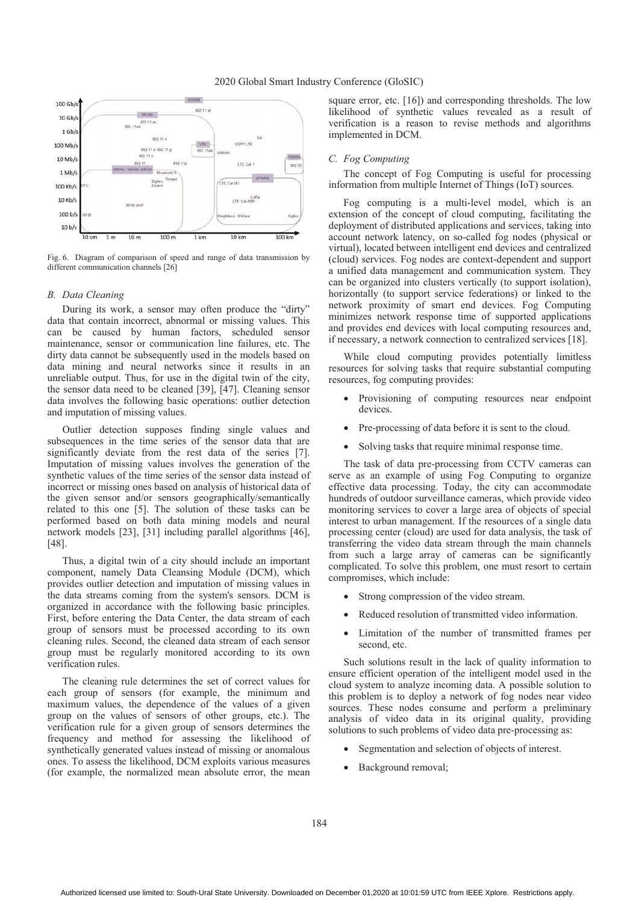

Fig. 6. Diagram of comparison of speed and range of data transmission by different communication channels [26]

#### *B. Data Cleaning*

During its work, a sensor may often produce the "dirty" data that contain incorrect, abnormal or missing values. This can be caused by human factors, scheduled sensor maintenance, sensor or communication line failures, etc. The dirty data cannot be subsequently used in the models based on data mining and neural networks since it results in an unreliable output. Thus, for use in the digital twin of the city, the sensor data need to be cleaned [39], [47]. Cleaning sensor data involves the following basic operations: outlier detection and imputation of missing values.

Outlier detection supposes finding single values and subsequences in the time series of the sensor data that are significantly deviate from the rest data of the series [7]. Imputation of missing values involves the generation of the synthetic values of the time series of the sensor data instead of incorrect or missing ones based on analysis of historical data of the given sensor and/or sensors geographically/semantically related to this one [5]. The solution of these tasks can be performed based on both data mining models and neural network models [23], [31] including parallel algorithms [46], [48].

Thus, a digital twin of a city should include an important component, namely Data Cleansing Module (DCM), which provides outlier detection and imputation of missing values in the data streams coming from the system's sensors. DCM is organized in accordance with the following basic principles. First, before entering the Data Center, the data stream of each group of sensors must be processed according to its own cleaning rules. Second, the cleaned data stream of each sensor group must be regularly monitored according to its own verification rules.

The cleaning rule determines the set of correct values for each group of sensors (for example, the minimum and maximum values, the dependence of the values of a given group on the values of sensors of other groups, etc.). The verification rule for a given group of sensors determines the frequency and method for assessing the likelihood of synthetically generated values instead of missing or anomalous ones. To assess the likelihood, DCM exploits various measures (for example, the normalized mean absolute error, the mean square error, etc. [16]) and corresponding thresholds. The low likelihood of synthetic values revealed as a result of verification is a reason to revise methods and algorithms implemented in DCM.

## *C. Fog Computing*

The concept of Fog Computing is useful for processing information from multiple Internet of Things (IoT) sources.

Fog computing is a multi-level model, which is an extension of the concept of cloud computing, facilitating the deployment of distributed applications and services, taking into account network latency, on so-called fog nodes (physical or virtual), located between intelligent end devices and centralized (cloud) services. Fog nodes are context-dependent and support a unified data management and communication system. They can be organized into clusters vertically (to support isolation), horizontally (to support service federations) or linked to the network proximity of smart end devices. Fog Computing minimizes network response time of supported applications and provides end devices with local computing resources and, if necessary, a network connection to centralized services [18].

While cloud computing provides potentially limitless resources for solving tasks that require substantial computing resources, fog computing provides:

- $\bullet$  Provisioning of computing resources near endpoint devices.
- -Pre-processing of data before it is sent to the cloud.
- $\bullet$ Solving tasks that require minimal response time.

The task of data pre-processing from CCTV cameras can serve as an example of using Fog Computing to organize effective data processing. Today, the city can accommodate hundreds of outdoor surveillance cameras, which provide video monitoring services to cover a large area of objects of special interest to urban management. If the resources of a single data processing center (cloud) are used for data analysis, the task of transferring the video data stream through the main channels from such a large array of cameras can be significantly complicated. To solve this problem, one must resort to certain compromises, which include:

- $\bullet$ Strong compression of the video stream.
- -Reduced resolution of transmitted video information.
- $\bullet$  Limitation of the number of transmitted frames per second, etc.

Such solutions result in the lack of quality information to ensure efficient operation of the intelligent model used in the cloud system to analyze incoming data. A possible solution to this problem is to deploy a network of fog nodes near video sources. These nodes consume and perform a preliminary analysis of video data in its original quality, providing solutions to such problems of video data pre-processing as:

- -Segmentation and selection of objects of interest.
- -Background removal;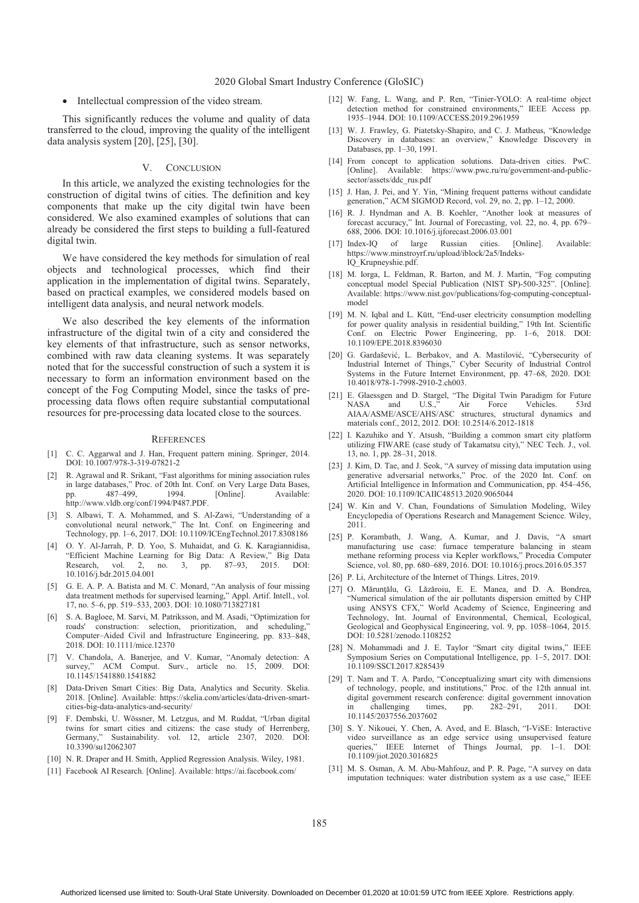- Intellectual compression of the video stream.

This significantly reduces the volume and quality of data transferred to the cloud, improving the quality of the intelligent data analysis system [20], [25], [30].

#### V. CONCLUSION

In this article, we analyzed the existing technologies for the construction of digital twins of cities. The definition and key components that make up the city digital twin have been considered. We also examined examples of solutions that can already be considered the first steps to building a full-featured digital twin.

We have considered the key methods for simulation of real objects and technological processes, which find their application in the implementation of digital twins. Separately, based on practical examples, we considered models based on intelligent data analysis, and neural network models.

We also described the key elements of the information infrastructure of the digital twin of a city and considered the key elements of that infrastructure, such as sensor networks, combined with raw data cleaning systems. It was separately noted that for the successful construction of such a system it is necessary to form an information environment based on the concept of the Fog Computing Model, since the tasks of preprocessing data flows often require substantial computational resources for pre-processing data located close to the sources.

#### **REFERENCES**

- [1] C. C. Aggarwal and J. Han, Frequent pattern mining. Springer, 2014. DOI: 10.1007/978-3-319-07821-2
- [2] R. Agrawal and R. Srikant, "Fast algorithms for mining association rules in large databases," Proc. of 20th Int. Conf. on Very Large Data Bases,<br>pp. 487–499, 1994. [Online]. Available: pp. 487–499, 1994. [Online]. Available: http://www.vldb.org/conf/1994/P487.PDF.
- [3] S. Albawi, T. A. Mohammed, and S. Al-Zawi, "Understanding of a convolutional neural network," The Int. Conf. on Engineering and Technology, pp. 1–6, 2017. DOI: 10.1109/ICEngTechnol.2017.8308186
- [4] O. Y. Al-Jarrah, P. D. Yoo, S. Muhaidat, and G. K. Karagiannidisa, "Efficient Machine Learning for Big Data: A Review," Big Data Research, vol. 2, no. 3, pp. 87–93, 2015. DOI: 10.1016/j.bdr.2015.04.001
- [5] G. E. A. P. A. Batista and M. C. Monard, "An analysis of four missing data treatment methods for supervised learning," Appl. Artif. Intell., vol. 17, no. 5–6, pp. 519–533, 2003. DOI: 10.1080/713827181
- [6] S. A. Bagloee, M. Sarvi, M. Patriksson, and M. Asadi, "Optimization for roads' construction: selection, prioritization, and scheduling," Computer–Aided Civil and Infrastructure Engineering, pp. 833–848, 2018. DOI: 10.1111/mice.12370
- [7] V. Chandola, A. Banerjee, and V. Kumar, "Anomaly detection: A survey," ACM Comput. Surv., article no. 15, 2009. DOI: 10.1145/1541880.1541882
- [8] Data-Driven Smart Cities: Big Data, Analytics and Security. Skelia. 2018. [Online]. Available: https://skelia.com/articles/data-driven-smartcities-big-data-analytics-and-security/
- [9] F. Dembski, U. Wössner, M. Letzgus, and M. Ruddat, "Urban digital twins for smart cities and citizens: the case study of Herrenberg, Germany," Sustainability. vol. 12, article 2307, 2020. DOI: 10.3390/su12062307
- [10] N. R. Draper and H. Smith, Applied Regression Analysis. Wiley, 1981.
- [11] Facebook AI Research. [Online]. Available: https://ai.facebook.com/
- [12] W. Fang, L. Wang, and P. Ren, "Tinier-YOLO: A real-time object detection method for constrained environments," IEEE Access pp. 1935–1944. DOI: 10.1109/ACCESS.2019.2961959
- [13] W. J. Frawley, G. Piatetsky-Shapiro, and C. J. Matheus, "Knowledge Discovery in databases: an overview," Knowledge Discovery in Databases, pp. 1–30, 1991.
- [14] From concept to application solutions. Data-driven cities. PwC. [Online]. Available: https://www.pwc.ru/ru/government-and-publicsector/assets/ddc\_rus.pdf
- [15] J. Han, J. Pei, and Y. Yin, "Mining frequent patterns without candidate generation," ACM SIGMOD Record, vol. 29, no. 2, pp. 1–12, 2000.
- [16] R. J. Hyndman and A. B. Koehler, "Another look at measures of forecast accuracy," Int. Journal of Forecasting, vol. 22, no. 4, pp. 679– 688, 2006. DOI: 10.1016/j.ijforecast.2006.03.001
- [17] Index-IQ of large Russian cities. [Online]. Available: https://www.minstroyrf.ru/upload/iblock/2a5/Indeks-IQ\_Krupneyshie.pdf.
- [18] M. Iorga, L. Feldman, R. Barton, and M. J. Martin, "Fog computing conceptual model Special Publication (NIST SP)-500-325". [Online]. Available: https://www.nist.gov/publications/fog-computing-conceptualmodel
- [19] M. N. Iqbal and L. Kütt, "End-user electricity consumption modelling for power quality analysis in residential building," 19th Int. Scientific Conf. on Electric Power Engineering, pp. 1–6, 2018. DOI: 10.1109/EPE.2018.8396030
- [20] G. Gardašević, L. Berbakov, and A. Mastilović, "Cybersecurity of Industrial Internet of Things," Cyber Security of Industrial Control Systems in the Future Internet Environment, pp. 47–68, 2020. DOI: 10.4018/978-1-7998-2910-2.ch003.
- [21] E. Glaessgen and D. Stargel, "The Digital Twin Paradigm for Future NASA and U.S.," Air Force Vehicles. 53rd AIAA/ASME/ASCE/AHS/ASC structures, structural dynamics and materials conf., 2012, 2012. DOI: 10.2514/6.2012-1818
- [22] I. Kazuhiko and Y. Atsush, "Building a common smart city platform utilizing FIWARE (case study of Takamatsu city)," NEC Tech. J., vol. 13, no. 1, pp. 28–31, 2018.
- [23] J. Kim, D. Tae, and J. Seok, "A survey of missing data imputation using generative adversarial networks," Proc. of the 2020 Int. Conf. on Artificial Intelligence in Information and Communication, pp. 454–456, 2020. DOI: 10.1109/ICAIIC48513.2020.9065044
- [24] W. Kin and V. Chan, Foundations of Simulation Modeling, Wiley Encyclopedia of Operations Research and Management Science. Wiley, 2011.
- [25] P. Korambath, J. Wang, A. Kumar, and J. Davis, "A smart manufacturing use case: furnace temperature balancing in steam methane reforming process via Kepler workflows," Procedia Computer Science, vol. 80, pp. 680–689, 2016. DOI: 10.1016/j.procs.2016.05.357
- [26] P. Li, Architecture of the Internet of Things. Litres, 2019.
- [27] O. Mărunțălu, G. Lăzăroiu, E. E. Manea, and D. A. Bondrea, "Numerical simulation of the air pollutants dispersion emitted by CHP using ANSYS CFX," World Academy of Science, Engineering and Technology, Int. Journal of Environmental, Chemical, Ecological, Geological and Geophysical Engineering, vol. 9, pp. 1058–1064, 2015. DOI: 10.5281/zenodo.1108252
- [28] N. Mohammadi and J. E. Taylor "Smart city digital twins," IEEE Symposium Series on Computational Intelligence, pp. 1–5, 2017. DOI: 10.1109/SSCI.2017.8285439
- [29] T. Nam and T. A. Pardo, "Conceptualizing smart city with dimensions of technology, people, and institutions," Proc. of the 12th annual int. digital government research conference: digital government innovation in challenging times, pp. 282–291, 2011. DOI: 10.1145/2037556.2037602
- [30] S. Y. Nikouei, Y. Chen, A. Aved, and E. Blasch, "I-ViSE: Interactive video surveillance as an edge service using unsupervised feature of Things Journal, pp. 1–1. DOI: 10.1109/jiot.2020.3016825
- [31] M. S. Osman, A. M. Abu-Mahfouz, and P. R. Page, "A survey on data imputation techniques: water distribution system as a use case," IEEE